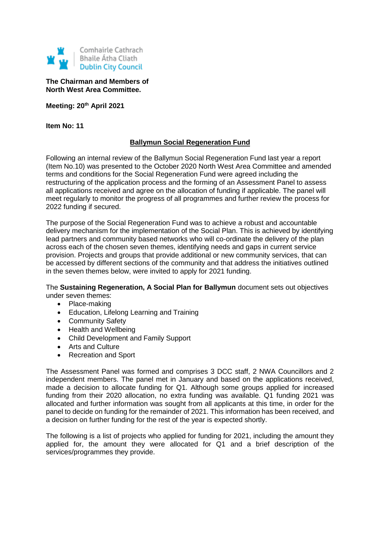

**The Chairman and Members of North West Area Committee.**

**Meeting: 20th April 2021**

**Item No: 11**

## **Ballymun Social Regeneration Fund**

Following an internal review of the Ballymun Social Regeneration Fund last year a report (Item No.10) was presented to the October 2020 North West Area Committee and amended terms and conditions for the Social Regeneration Fund were agreed including the restructuring of the application process and the forming of an Assessment Panel to assess all applications received and agree on the allocation of funding if applicable. The panel will meet regularly to monitor the progress of all programmes and further review the process for 2022 funding if secured.

The purpose of the Social Regeneration Fund was to achieve a robust and accountable delivery mechanism for the implementation of the Social Plan. This is achieved by identifying lead partners and community based networks who will co-ordinate the delivery of the plan across each of the chosen seven themes, identifying needs and gaps in current service provision. Projects and groups that provide additional or new community services, that can be accessed by different sections of the community and that address the initiatives outlined in the seven themes below, were invited to apply for 2021 funding.

The **Sustaining Regeneration, A Social Plan for Ballymun** document sets out objectives under seven themes:

- Place-making
- Education, Lifelong Learning and Training
- Community Safety
- Health and Wellbeing
- Child Development and Family Support
- Arts and Culture
- Recreation and Sport

The Assessment Panel was formed and comprises 3 DCC staff, 2 NWA Councillors and 2 independent members. The panel met in January and based on the applications received, made a decision to allocate funding for Q1. Although some groups applied for increased funding from their 2020 allocation, no extra funding was available. Q1 funding 2021 was allocated and further information was sought from all applicants at this time, in order for the panel to decide on funding for the remainder of 2021. This information has been received, and a decision on further funding for the rest of the year is expected shortly.

The following is a list of projects who applied for funding for 2021, including the amount they applied for, the amount they were allocated for Q1 and a brief description of the services/programmes they provide.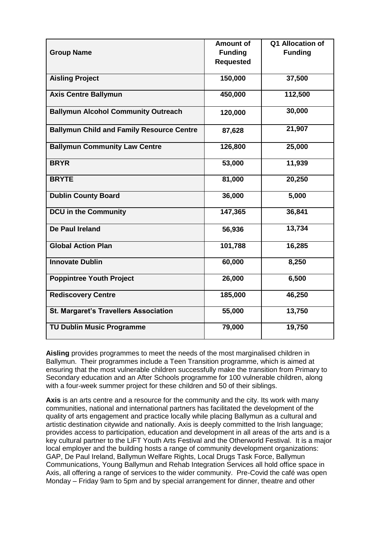|                                                  | <b>Amount of</b> | Q1 Allocation of |
|--------------------------------------------------|------------------|------------------|
| <b>Group Name</b>                                | <b>Funding</b>   | <b>Funding</b>   |
|                                                  | <b>Requested</b> |                  |
|                                                  |                  |                  |
| <b>Aisling Project</b>                           | 150,000          | 37,500           |
|                                                  |                  |                  |
| <b>Axis Centre Ballymun</b>                      | 450,000          | 112,500          |
| <b>Ballymun Alcohol Community Outreach</b>       |                  | 30,000           |
|                                                  | 120,000          |                  |
| <b>Ballymun Child and Family Resource Centre</b> |                  | 21,907           |
|                                                  | 87,628           |                  |
| <b>Ballymun Community Law Centre</b>             | 126,800          | 25,000           |
|                                                  |                  |                  |
| <b>BRYR</b>                                      | 53,000           | 11,939           |
|                                                  |                  |                  |
| <b>BRYTE</b>                                     | 81,000           | 20,250           |
|                                                  |                  |                  |
| <b>Dublin County Board</b>                       | 36,000           | 5,000            |
| <b>DCU in the Community</b>                      | 147,365          | 36,841           |
|                                                  |                  |                  |
| De Paul Ireland                                  | 56,936           | 13,734           |
|                                                  |                  |                  |
| <b>Global Action Plan</b>                        | 101,788          | 16,285           |
|                                                  |                  |                  |
| <b>Innovate Dublin</b>                           | 60,000           | 8,250            |
| <b>Poppintree Youth Project</b>                  | 26,000           | 6,500            |
|                                                  |                  |                  |
| <b>Rediscovery Centre</b>                        | 185,000          | 46,250           |
|                                                  |                  |                  |
| <b>St. Margaret's Travellers Association</b>     | 55,000           | 13,750           |
|                                                  |                  |                  |
| <b>TU Dublin Music Programme</b>                 | 79,000           | 19,750           |
|                                                  |                  |                  |

**Aisling** provides programmes to meet the needs of the most marginalised children in Ballymun. Their programmes include a Teen Transition programme, which is aimed at ensuring that the most vulnerable children successfully make the transition from Primary to Secondary education and an After Schools programme for 100 vulnerable children, along with a four-week summer project for these children and 50 of their siblings.

**Axis** is an arts centre and a resource for the community and the city. Its work with many communities, national and international partners has facilitated the development of the quality of arts engagement and practice locally while placing Ballymun as a cultural and artistic destination citywide and nationally. Axis is deeply committed to the Irish language; provides access to participation, education and development in all areas of the arts and is a key cultural partner to the LiFT Youth Arts Festival and the Otherworld Festival. It is a major local employer and the building hosts a range of community development organizations: GAP, De Paul Ireland, Ballymun Welfare Rights, Local Drugs Task Force, Ballymun Communications, Young Ballymun and Rehab Integration Services all hold office space in Axis, all offering a range of services to the wider community. Pre-Covid the café was open Monday – Friday 9am to 5pm and by special arrangement for dinner, theatre and other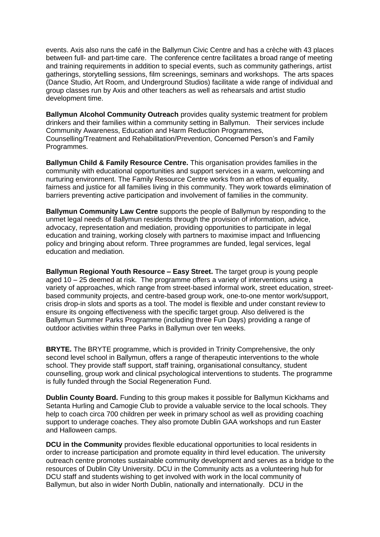events. Axis also runs the café in the Ballymun Civic Centre and has a crèche with 43 places between full- and part-time care. The conference centre facilitates a broad range of meeting and training requirements in addition to special events, such as community gatherings, artist gatherings, storytelling sessions, film screenings, seminars and workshops. The arts spaces (Dance Studio, Art Room, and Underground Studios) facilitate a wide range of individual and group classes run by Axis and other teachers as well as rehearsals and artist studio development time.

**Ballymun Alcohol Community Outreach** provides quality systemic treatment for problem drinkers and their families within a community setting in Ballymun. Their services include Community Awareness, Education and Harm Reduction Programmes, Counselling/Treatment and Rehabilitation/Prevention, Concerned Person's and Family Programmes.

**Ballymun Child & Family Resource Centre.** This organisation provides families in the community with educational opportunities and support services in a warm, welcoming and nurturing environment. The Family Resource Centre works from an ethos of equality, fairness and justice for all families living in this community. They work towards elimination of barriers preventing active participation and involvement of families in the community.

**Ballymun Community Law Centre** supports the people of Ballymun by responding to the unmet legal needs of Ballymun residents through the provision of information, advice, advocacy, representation and mediation, providing opportunities to participate in legal education and training, working closely with partners to maximise impact and Influencing policy and bringing about reform. Three programmes are funded, legal services, legal education and mediation.

**Ballymun Regional Youth Resource – Easy Street.** The target group is young people aged 10 – 25 deemed at risk. The programme offers a variety of interventions using a variety of approaches, which range from street-based informal work, street education, streetbased community projects, and centre-based group work, one-to-one mentor work/support, crisis drop-in slots and sports as a tool. The model is flexible and under constant review to ensure its ongoing effectiveness with the specific target group. Also delivered is the Ballymun Summer Parks Programme (including three Fun Days) providing a range of outdoor activities within three Parks in Ballymun over ten weeks.

**BRYTE.** The BRYTE programme, which is provided in Trinity Comprehensive, the only second level school in Ballymun, offers a range of therapeutic interventions to the whole school. They provide staff support, staff training, organisational consultancy, student counselling, group work and clinical psychological interventions to students. The programme is fully funded through the Social Regeneration Fund.

**Dublin County Board.** Funding to this group makes it possible for Ballymun Kickhams and Setanta Hurling and Camogie Club to provide a valuable service to the local schools. They help to coach circa 700 children per week in primary school as well as providing coaching support to underage coaches. They also promote Dublin GAA workshops and run Easter and Halloween camps.

**DCU in the Community** provides flexible educational opportunities to local residents in order to increase participation and promote equality in third level education. The university outreach centre promotes sustainable community development and serves as a bridge to the resources of Dublin City University. DCU in the Community acts as a volunteering hub for DCU staff and students wishing to get involved with work in the local community of Ballymun, but also in wider North Dublin, nationally and internationally. DCU in the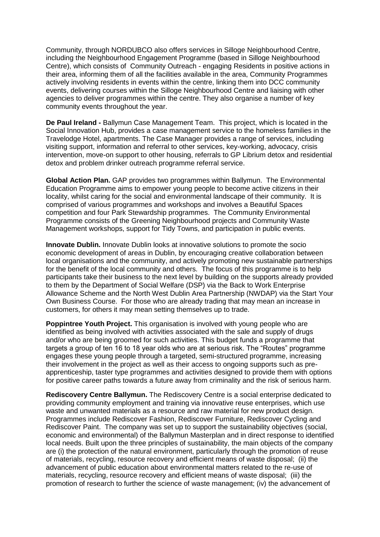Community, through NORDUBCO also offers services in Silloge Neighbourhood Centre, including the Neighbourhood Engagement Programme (based in Silloge Neighbourhood Centre), which consists of Community Outreach - engaging Residents in positive actions in their area, informing them of all the facilities available in the area, Community Programmes actively involving residents in events within the centre, linking them into DCC community events, delivering courses within the Silloge Neighbourhood Centre and liaising with other agencies to deliver programmes within the centre. They also organise a number of key community events throughout the year.

**De Paul Ireland -** Ballymun Case Management Team. This project, which is located in the Social Innovation Hub, provides a case management service to the homeless families in the Travelodge Hotel, apartments. The Case Manager provides a range of services, including visiting support, information and referral to other services, key-working, advocacy, crisis intervention, move-on support to other housing, referrals to GP Librium detox and residential detox and problem drinker outreach programme referral service.

**Global Action Plan.** GAP provides two programmes within Ballymun. The Environmental Education Programme aims to empower young people to become active citizens in their locality, whilst caring for the social and environmental landscape of their community. It is comprised of various programmes and workshops and involves a Beautiful Spaces competition and four Park Stewardship programmes. The Community Environmental Programme consists of the Greening Neighbourhood projects and Community Waste Management workshops, support for Tidy Towns, and participation in public events.

**Innovate Dublin.** Innovate Dublin looks at innovative solutions to promote the socio economic development of areas in Dublin, by encouraging creative collaboration between local organisations and the community, and actively promoting new sustainable partnerships for the benefit of the local community and others. The focus of this programme is to help participants take their business to the next level by building on the supports already provided to them by the Department of Social Welfare (DSP) via the Back to Work Enterprise Allowance Scheme and the North West Dublin Area Partnership (NWDAP) via the Start Your Own Business Course. For those who are already trading that may mean an increase in customers, for others it may mean setting themselves up to trade.

**Poppintree Youth Project.** This organisation is involved with young people who are identified as being involved with activities associated with the sale and supply of drugs and/or who are being groomed for such activities. This budget funds a programme that targets a group of ten 16 to 18 year olds who are at serious risk. The "Routes" programme engages these young people through a targeted, semi-structured programme, increasing their involvement in the project as well as their access to ongoing supports such as preapprenticeship, taster type programmes and activities designed to provide them with options for positive career paths towards a future away from criminality and the risk of serious harm.

**Rediscovery Centre Ballymun.** The Rediscovery Centre is a social enterprise dedicated to providing community employment and training via innovative reuse enterprises, which use waste and unwanted materials as a resource and raw material for new product design. Programmes include Rediscover Fashion, Rediscover Furniture, Rediscover Cycling and Rediscover Paint. The company was set up to support the sustainability objectives (social, economic and environmental) of the Ballymun Masterplan and in direct response to identified local needs. Built upon the three principles of sustainability, the main objects of the company are (i) the protection of the natural environment, particularly through the promotion of reuse of materials, recycling, resource recovery and efficient means of waste disposal; (ii) the advancement of public education about environmental matters related to the re-use of materials, recycling, resource recovery and efficient means of waste disposal; (iii) the promotion of research to further the science of waste management; (iv) the advancement of